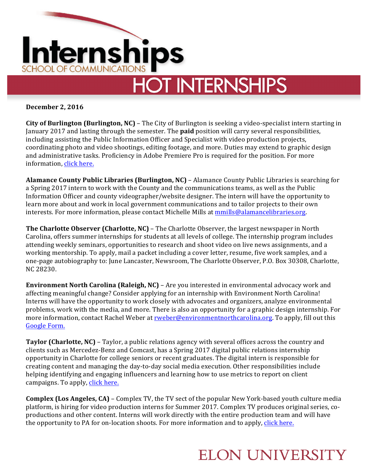

**December 2, 2016**

**City of Burlington (Burlington, NC)** – The City of Burlington is seeking a video-specialist intern starting in January 2017 and lasting through the semester. The **paid** position will carry several responsibilities, including assisting the Public Information Officer and Specialist with video production projects, coordinating photo and video shootings, editing footage, and more. Duties may extend to graphic design and administrative tasks. Proficiency in Adobe Premiere Pro is required for the position. For more information, click here.

**Alamance County Public Libraries (Burlington, NC)** - Alamance County Public Libraries is searching for a Spring 2017 intern to work with the County and the communications teams, as well as the Public Information Officer and county videographer/website designer. The intern will have the opportunity to learn more about and work in local government communications and to tailor projects to their own interests. For more information, please contact Michelle Mills at mmills@alamancelibraries.org.

**The Charlotte Observer (Charlotte, NC)** – The Charlotte Observer, the largest newspaper in North Carolina, offers summer internships for students at all levels of college. The internship program includes attending weekly seminars, opportunities to research and shoot video on live news assignments, and a working mentorship. To apply, mail a packet including a cover letter, resume, five work samples, and a one-page autobiography to: June Lancaster, Newsroom, The Charlotte Observer, P.O. Box 30308, Charlotte, NC 28230.

**Environment North Carolina (Raleigh, NC)** – Are you interested in environmental advocacy work and affecting meaningful change? Consider applying for an internship with Environment North Carolina! Interns will have the opportunity to work closely with advocates and organizers, analyze environmental problems, work with the media, and more. There is also an opportunity for a graphic design internship. For more information, contact Rachel Weber at rweber@environmentnorthcarolina.org. To apply, fill out this Google Form.

**Taylor (Charlotte, NC)** – Taylor, a public relations agency with several offices across the country and clients such as Mercedez-Benz and Comcast, has a Spring 2017 digital public relations internship opportunity in Charlotte for college seniors or recent graduates. The digital intern is responsible for creating content and managing the day-to-day social media execution. Other responsibilities include helping identifying and engaging influencers and learning how to use metrics to report on client campaigns. To apply, click here.

**Complex (Los Angeles, CA)** – Complex TV, the TV sect of the popular New York-based youth culture media platform, is hiring for video production interns for Summer 2017. Complex TV produces original series, coproductions and other content. Interns will work directly with the entire production team and will have the opportunity to PA for on-location shoots. For more information and to apply, click here.

## **ELON UNIVERSITY**